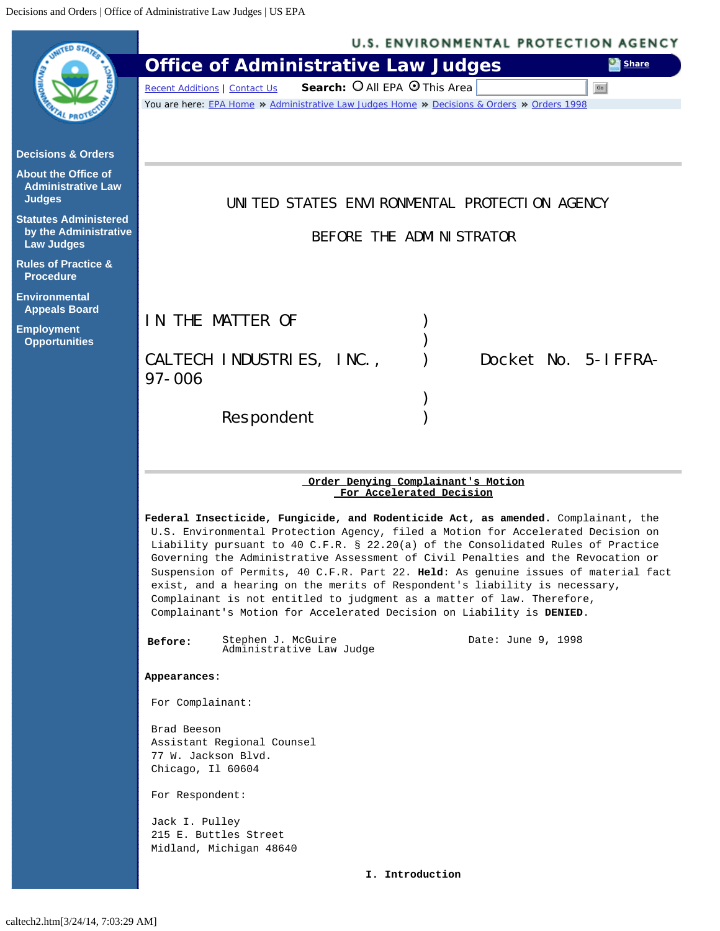<span id="page-0-0"></span>

|                                                                            | <b>U.S. ENVIRONMENTAL PROTECTION AGENCY</b>                                                                                                                                                                                                                                                                                                                                                                                                                                                                                                                                                                                                                          |
|----------------------------------------------------------------------------|----------------------------------------------------------------------------------------------------------------------------------------------------------------------------------------------------------------------------------------------------------------------------------------------------------------------------------------------------------------------------------------------------------------------------------------------------------------------------------------------------------------------------------------------------------------------------------------------------------------------------------------------------------------------|
|                                                                            | <b>Office of Administrative Law Judges</b><br><b>Share</b>                                                                                                                                                                                                                                                                                                                                                                                                                                                                                                                                                                                                           |
|                                                                            | Search: O All EPA O This Area<br>Recent Additions   Contact Us<br>Go                                                                                                                                                                                                                                                                                                                                                                                                                                                                                                                                                                                                 |
|                                                                            | You are here: EPA Home » Administrative Law Judges Home » Decisions & Orders » Orders 1998                                                                                                                                                                                                                                                                                                                                                                                                                                                                                                                                                                           |
| <b>Decisions &amp; Orders</b>                                              |                                                                                                                                                                                                                                                                                                                                                                                                                                                                                                                                                                                                                                                                      |
| <b>About the Office of</b><br><b>Administrative Law</b><br><b>Judges</b>   | UNITED STATES ENVIRONMENTAL PROTECTION AGENCY                                                                                                                                                                                                                                                                                                                                                                                                                                                                                                                                                                                                                        |
| <b>Statutes Administered</b><br>by the Administrative<br><b>Law Judges</b> | BEFORE THE ADMINISTRATOR                                                                                                                                                                                                                                                                                                                                                                                                                                                                                                                                                                                                                                             |
| <b>Rules of Practice &amp;</b><br><b>Procedure</b>                         |                                                                                                                                                                                                                                                                                                                                                                                                                                                                                                                                                                                                                                                                      |
| <b>Environmental</b><br><b>Appeals Board</b>                               | IN THE MATTER OF                                                                                                                                                                                                                                                                                                                                                                                                                                                                                                                                                                                                                                                     |
| <b>Employment</b><br><b>Opportunities</b>                                  |                                                                                                                                                                                                                                                                                                                                                                                                                                                                                                                                                                                                                                                                      |
|                                                                            | CALTECH INDUSTRIES, INC.,<br>Docket No. 5-IFFRA-                                                                                                                                                                                                                                                                                                                                                                                                                                                                                                                                                                                                                     |
|                                                                            | $97 - 006$                                                                                                                                                                                                                                                                                                                                                                                                                                                                                                                                                                                                                                                           |
|                                                                            |                                                                                                                                                                                                                                                                                                                                                                                                                                                                                                                                                                                                                                                                      |
|                                                                            | Respondent                                                                                                                                                                                                                                                                                                                                                                                                                                                                                                                                                                                                                                                           |
|                                                                            |                                                                                                                                                                                                                                                                                                                                                                                                                                                                                                                                                                                                                                                                      |
|                                                                            | Order Denying Complainant's Motion                                                                                                                                                                                                                                                                                                                                                                                                                                                                                                                                                                                                                                   |
|                                                                            | For Accelerated Decision                                                                                                                                                                                                                                                                                                                                                                                                                                                                                                                                                                                                                                             |
|                                                                            | Federal Insecticide, Fungicide, and Rodenticide Act, as amended. Complainant, the<br>U.S. Environmental Protection Agency, filed a Motion for Accelerated Decision on<br>Liability pursuant to 40 C.F.R. § 22.20(a) of the Consolidated Rules of Practice<br>Governing the Administrative Assessment of Civil Penalties and the Revocation or<br>Suspension of Permits, 40 C.F.R. Part 22. Held: As genuine issues of material fact<br>exist, and a hearing on the merits of Respondent's liability is necessary,<br>Complainant is not entitled to judgment as a matter of law. Therefore,<br>Complainant's Motion for Accelerated Decision on Liability is DENIED. |
|                                                                            | Date: June 9, 1998<br>Stephen J. McGuire<br>Administrative Law Judge<br>Before:                                                                                                                                                                                                                                                                                                                                                                                                                                                                                                                                                                                      |
|                                                                            | Appearances:                                                                                                                                                                                                                                                                                                                                                                                                                                                                                                                                                                                                                                                         |
|                                                                            | For Complainant:                                                                                                                                                                                                                                                                                                                                                                                                                                                                                                                                                                                                                                                     |
|                                                                            | Brad Beeson<br>Assistant Regional Counsel<br>77 W. Jackson Blvd.<br>Chicago, Il 60604                                                                                                                                                                                                                                                                                                                                                                                                                                                                                                                                                                                |
|                                                                            | For Respondent:                                                                                                                                                                                                                                                                                                                                                                                                                                                                                                                                                                                                                                                      |
|                                                                            | Jack I. Pulley<br>215 E. Buttles Street<br>Midland, Michigan 48640                                                                                                                                                                                                                                                                                                                                                                                                                                                                                                                                                                                                   |
|                                                                            | I. Introduction                                                                                                                                                                                                                                                                                                                                                                                                                                                                                                                                                                                                                                                      |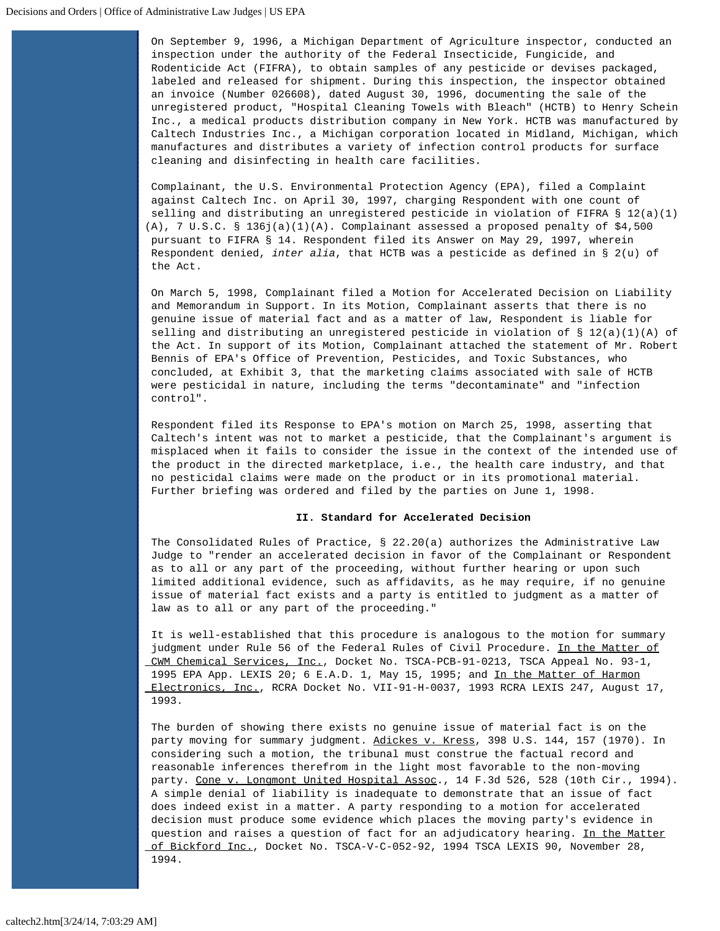On September 9, 1996, a Michigan Department of Agriculture inspector, conducted an inspection under the authority of the Federal Insecticide, Fungicide, and Rodenticide Act (FIFRA), to obtain samples of any pesticide or devises packaged, labeled and released for shipment. During this inspection, the inspector obtained an invoice (Number 026608), dated August 30, 1996, documenting the sale of the unregistered product, "Hospital Cleaning Towels with Bleach" (HCTB) to Henry Schein Inc., a medical products distribution company in New York. HCTB was manufactured by Caltech Industries Inc., a Michigan corporation located in Midland, Michigan, which manufactures and distributes a variety of infection control products for surface cleaning and disinfecting in health care facilities.

Complainant, the U.S. Environmental Protection Agency (EPA), filed a Complaint against Caltech Inc. on April 30, 1997, charging Respondent with one count of selling and distributing an unregistered pesticide in violation of FIFRA § 12(a)(1) (A), 7 U.S.C. § 136j(a)(1)(A). Complainant assessed a proposed penalty of \$4,500 pursuant to FIFRA § 14. Respondent filed its Answer on May 29, 1997, wherein Respondent denied, *inter alia*, that HCTB was a pesticide as defined in § 2(u) of the Act.

On March 5, 1998, Complainant filed a Motion for Accelerated Decision on Liability and Memorandum in Support. In its Motion, Complainant asserts that there is no genuine issue of material fact and as a matter of law, Respondent is liable for selling and distributing an unregistered pesticide in violation of § 12(a)(1)(A) of the Act. In support of its Motion, Complainant attached the statement of Mr. Robert Bennis of EPA's Office of Prevention, Pesticides, and Toxic Substances, who concluded, at Exhibit 3, that the marketing claims associated with sale of HCTB were pesticidal in nature, including the terms "decontaminate" and "infection control".

Respondent filed its Response to EPA's motion on March 25, 1998, asserting that Caltech's intent was not to market a pesticide, that the Complainant's argument is misplaced when it fails to consider the issue in the context of the intended use of the product in the directed marketplace, i.e., the health care industry, and that no pesticidal claims were made on the product or in its promotional material. Further briefing was ordered and filed by the parties on June 1, 1998.

## **II. Standard for Accelerated Decision**

The Consolidated Rules of Practice, § 22.20(a) authorizes the Administrative Law Judge to "render an accelerated decision in favor of the Complainant or Respondent as to all or any part of the proceeding, without further hearing or upon such limited additional evidence, such as affidavits, as he may require, if no genuine issue of material fact exists and a party is entitled to judgment as a matter of law as to all or any part of the proceeding."

It is well-established that this procedure is analogous to the motion for summary judgment under Rule 56 of the Federal Rules of Civil Procedure. In the Matter of CWM Chemical Services, Inc., Docket No. TSCA-PCB-91-0213, TSCA Appeal No. 93-1, 1995 EPA App. LEXIS 20; 6 E.A.D. 1, May 15, 1995; and In the Matter of Harmon Electronics, Inc., RCRA Docket No. VII-91-H-0037, 1993 RCRA LEXIS 247, August 17, 1993.

The burden of showing there exists no genuine issue of material fact is on the party moving for summary judgment. Adickes v. Kress, 398 U.S. 144, 157 (1970). In considering such a motion, the tribunal must construe the factual record and reasonable inferences therefrom in the light most favorable to the non-moving party. Cone v. Longmont United Hospital Assoc., 14 F.3d 526, 528 (10th Cir., 1994). A simple denial of liability is inadequate to demonstrate that an issue of fact does indeed exist in a matter. A party responding to a motion for accelerated decision must produce some evidence which places the moving party's evidence in question and raises a question of fact for an adjudicatory hearing. In the Matter of Bickford Inc., Docket No. TSCA-V-C-052-92, 1994 TSCA LEXIS 90, November 28, 1994.